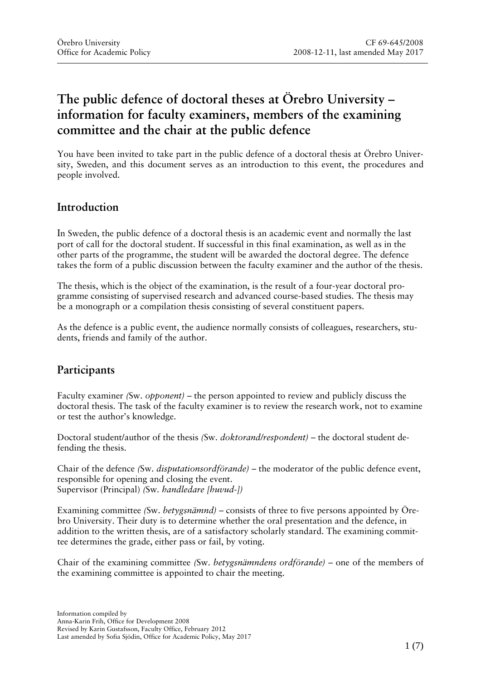# **The public defence of doctoral theses at Örebro University – information for faculty examiners, members of the examining committee and the chair at the public defence**

You have been invited to take part in the public defence of a doctoral thesis at Örebro University, Sweden, and this document serves as an introduction to this event, the procedures and people involved.

### **Introduction**

In Sweden, the public defence of a doctoral thesis is an academic event and normally the last port of call for the doctoral student. If successful in this final examination, as well as in the other parts of the programme, the student will be awarded the doctoral degree. The defence takes the form of a public discussion between the faculty examiner and the author of the thesis.

The thesis, which is the object of the examination, is the result of a four-year doctoral programme consisting of supervised research and advanced course-based studies. The thesis may be a monograph or a compilation thesis consisting of several constituent papers.

As the defence is a public event, the audience normally consists of colleagues, researchers, students, friends and family of the author.

## **Participants**

Faculty examiner *(*Sw. *opponent)* – the person appointed to review and publicly discuss the doctoral thesis. The task of the faculty examiner is to review the research work, not to examine or test the author's knowledge.

Doctoral student/author of the thesis *(*Sw. *doktorand/respondent)* – the doctoral student defending the thesis.

Chair of the defence *(*Sw. *disputationsordförande)* – the moderator of the public defence event, responsible for opening and closing the event. Supervisor (Principal) *(*Sw*. handledare [huvud-])* 

Examining committee *(*Sw. *betygsnämnd)* – consists of three to five persons appointed by Örebro University. Their duty is to determine whether the oral presentation and the defence, in addition to the written thesis, are of a satisfactory scholarly standard. The examining committee determines the grade, either pass or fail, by voting.

Chair of the examining committee *(*Sw. *betygsnämndens ordförande)* – one of the members of the examining committee is appointed to chair the meeting.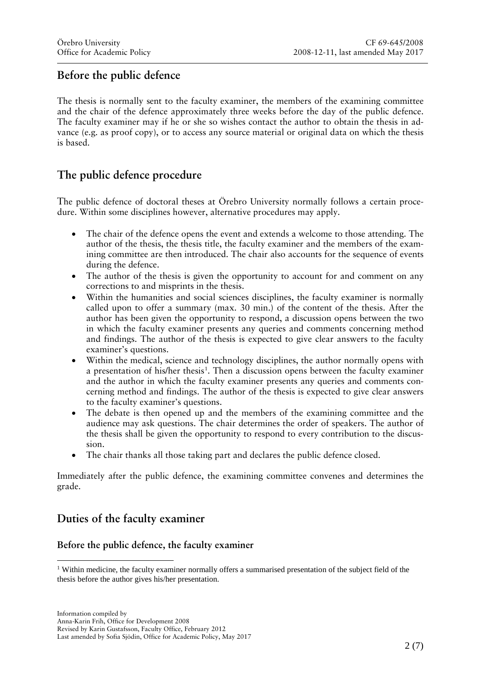# **Before the public defence**

The thesis is normally sent to the faculty examiner, the members of the examining committee and the chair of the defence approximately three weeks before the day of the public defence. The faculty examiner may if he or she so wishes contact the author to obtain the thesis in advance (e.g. as proof copy), or to access any source material or original data on which the thesis is based.

## **The public defence procedure**

The public defence of doctoral theses at Örebro University normally follows a certain procedure. Within some disciplines however, alternative procedures may apply.

- The chair of the defence opens the event and extends a welcome to those attending. The author of the thesis, the thesis title, the faculty examiner and the members of the examining committee are then introduced. The chair also accounts for the sequence of events during the defence.
- The author of the thesis is given the opportunity to account for and comment on any corrections to and misprints in the thesis.
- Within the humanities and social sciences disciplines, the faculty examiner is normally called upon to offer a summary (max. 30 min.) of the content of the thesis. After the author has been given the opportunity to respond, a discussion opens between the two in which the faculty examiner presents any queries and comments concerning method and findings. The author of the thesis is expected to give clear answers to the faculty examiner's questions.
- Within the medical, science and technology disciplines, the author normally opens with a presentation of his/her thesis<sup>1</sup>. Then a discussion opens between the faculty examiner and the author in which the faculty examiner presents any queries and comments concerning method and findings. The author of the thesis is expected to give clear answers to the faculty examiner's questions.
- The debate is then opened up and the members of the examining committee and the audience may ask questions. The chair determines the order of speakers. The author of the thesis shall be given the opportunity to respond to every contribution to the discussion.
- The chair thanks all those taking part and declares the public defence closed.

Immediately after the public defence, the examining committee convenes and determines the grade.

## **Duties of the faculty examiner**

### **Before the public defence, the faculty examiner**

<span id="page-1-0"></span><sup>&</sup>lt;sup>1</sup> Within medicine, the faculty examiner normally offers a summarised presentation of the subject field of the thesis before the author gives his/her presentation.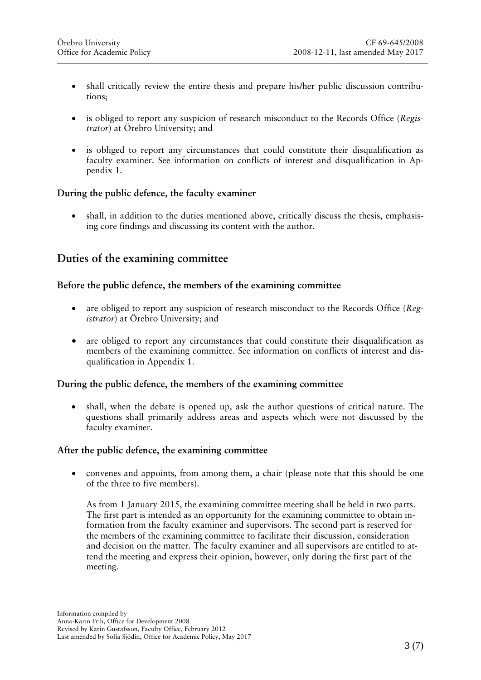- shall critically review the entire thesis and prepare his/her public discussion contributions;
- is obliged to report any suspicion of research misconduct to the Records Office (*Registrator*) at Örebro University; and
- is obliged to report any circumstances that could constitute their disqualification as faculty examiner. See information on conflicts of interest and disqualification in Appendix 1.

### **During the public defence, the faculty examiner**

• shall, in addition to the duties mentioned above, critically discuss the thesis, emphasising core findings and discussing its content with the author.

### **Duties of the examining committee**

#### **Before the public defence, the members of the examining committee**

- are obliged to report any suspicion of research misconduct to the Records Office (*Registrator*) at Örebro University; and
- are obliged to report any circumstances that could constitute their disqualification as members of the examining committee. See information on conflicts of interest and disqualification in Appendix 1.

#### **During the public defence, the members of the examining committee**

• shall, when the debate is opened up, ask the author questions of critical nature. The questions shall primarily address areas and aspects which were not discussed by the faculty examiner.

#### **After the public defence, the examining committee**

• convenes and appoints, from among them, a chair (please note that this should be one of the three to five members).

As from 1 January 2015, the examining committee meeting shall be held in two parts. The first part is intended as an opportunity for the examining committee to obtain information from the faculty examiner and supervisors. The second part is reserved for the members of the examining committee to facilitate their discussion, consideration and decision on the matter. The faculty examiner and all supervisors are entitled to attend the meeting and express their opinion, however, only during the first part of the meeting.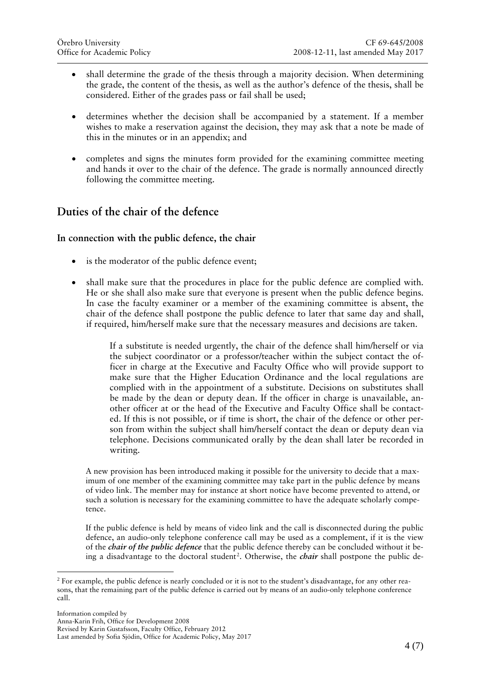- shall determine the grade of the thesis through a majority decision. When determining the grade, the content of the thesis, as well as the author's defence of the thesis, shall be considered. Either of the grades pass or fail shall be used;
- determines whether the decision shall be accompanied by a statement. If a member wishes to make a reservation against the decision, they may ask that a note be made of this in the minutes or in an appendix; and
- completes and signs the minutes form provided for the examining committee meeting and hands it over to the chair of the defence. The grade is normally announced directly following the committee meeting.

### **Duties of the chair of the defence**

#### **In connection with the public defence, the chair**

- is the moderator of the public defence event;
- shall make sure that the procedures in place for the public defence are complied with. He or she shall also make sure that everyone is present when the public defence begins. In case the faculty examiner or a member of the examining committee is absent, the chair of the defence shall postpone the public defence to later that same day and shall, if required, him/herself make sure that the necessary measures and decisions are taken.

If a substitute is needed urgently, the chair of the defence shall him/herself or via the subject coordinator or a professor/teacher within the subject contact the officer in charge at the Executive and Faculty Office who will provide support to make sure that the Higher Education Ordinance and the local regulations are complied with in the appointment of a substitute. Decisions on substitutes shall be made by the dean or deputy dean. If the officer in charge is unavailable, another officer at or the head of the Executive and Faculty Office shall be contacted. If this is not possible, or if time is short, the chair of the defence or other person from within the subject shall him/herself contact the dean or deputy dean via telephone. Decisions communicated orally by the dean shall later be recorded in writing.

A new provision has been introduced making it possible for the university to decide that a maximum of one member of the examining committee may take part in the public defence by means of video link. The member may for instance at short notice have become prevented to attend, or such a solution is necessary for the examining committee to have the adequate scholarly competence.

If the public defence is held by means of video link and the call is disconnected during the public defence, an audio-only telephone conference call may be used as a complement, if it is the view of the *chair of the public defence* that the public defence thereby can be concluded without it be-ing a disadvantage to the doctoral student<sup>[2](#page-3-0)</sup>. Otherwise, the *chair* shall postpone the public de-

<span id="page-3-0"></span><sup>&</sup>lt;sup>2</sup> For example, the public defence is nearly concluded or it is not to the student's disadvantage, for any other reasons, that the remaining part of the public defence is carried out by means of an audio-only telephone conference call.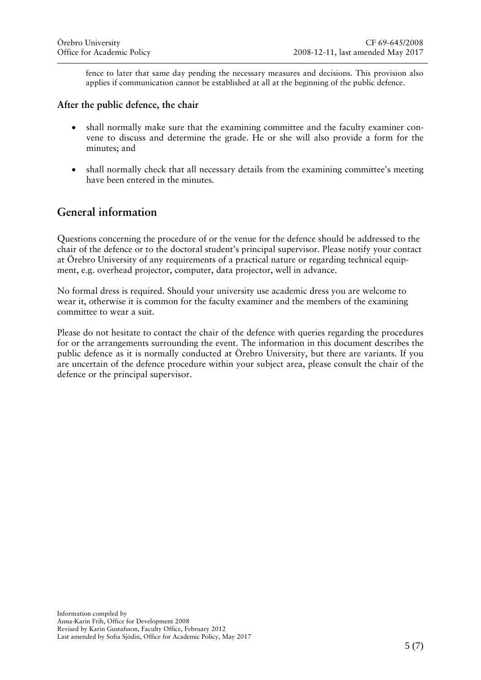fence to later that same day pending the necessary measures and decisions. This provision also applies if communication cannot be established at all at the beginning of the public defence.

#### **After the public defence, the chair**

- shall normally make sure that the examining committee and the faculty examiner convene to discuss and determine the grade. He or she will also provide a form for the minutes; and
- shall normally check that all necessary details from the examining committee's meeting have been entered in the minutes.

### **General information**

Questions concerning the procedure of or the venue for the defence should be addressed to the chair of the defence or to the doctoral student's principal supervisor. Please notify your contact at Örebro University of any requirements of a practical nature or regarding technical equipment, e.g. overhead projector, computer, data projector, well in advance.

No formal dress is required. Should your university use academic dress you are welcome to wear it, otherwise it is common for the faculty examiner and the members of the examining committee to wear a suit.

Please do not hesitate to contact the chair of the defence with queries regarding the procedures for or the arrangements surrounding the event. The information in this document describes the public defence as it is normally conducted at Örebro University, but there are variants. If you are uncertain of the defence procedure within your subject area, please consult the chair of the defence or the principal supervisor.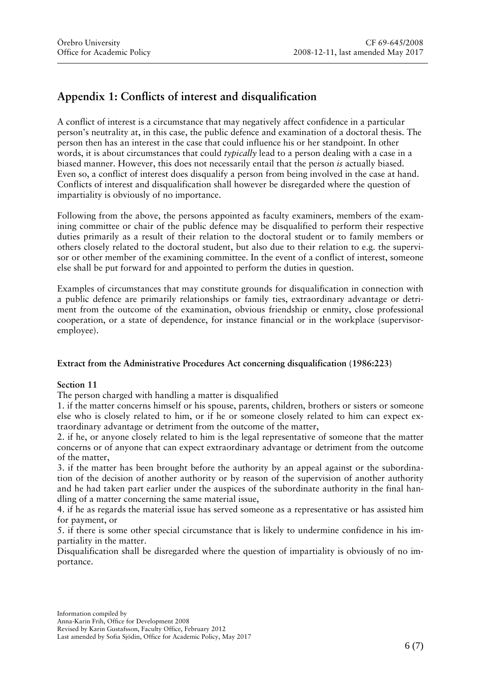# **Appendix 1: Conflicts of interest and disqualification**

A conflict of interest is a circumstance that may negatively affect confidence in a particular person's neutrality at, in this case, the public defence and examination of a doctoral thesis. The person then has an interest in the case that could influence his or her standpoint. In other words, it is about circumstances that could *typically* lead to a person dealing with a case in a biased manner. However, this does not necessarily entail that the person *is* actually biased. Even so, a conflict of interest does disqualify a person from being involved in the case at hand. Conflicts of interest and disqualification shall however be disregarded where the question of impartiality is obviously of no importance.

Following from the above, the persons appointed as faculty examiners, members of the examining committee or chair of the public defence may be disqualified to perform their respective duties primarily as a result of their relation to the doctoral student or to family members or others closely related to the doctoral student, but also due to their relation to e.g. the supervisor or other member of the examining committee. In the event of a conflict of interest, someone else shall be put forward for and appointed to perform the duties in question.

Examples of circumstances that may constitute grounds for disqualification in connection with a public defence are primarily relationships or family ties, extraordinary advantage or detriment from the outcome of the examination, obvious friendship or enmity, close professional cooperation, or a state of dependence, for instance financial or in the workplace (supervisoremployee).

#### **Extract from the Administrative Procedures Act concerning disqualification (1986:223)**

#### **Section 11**

The person charged with handling a matter is disqualified

1. if the matter concerns himself or his spouse, parents, children, brothers or sisters or someone else who is closely related to him, or if he or someone closely related to him can expect extraordinary advantage or detriment from the outcome of the matter,

2. if he, or anyone closely related to him is the legal representative of someone that the matter concerns or of anyone that can expect extraordinary advantage or detriment from the outcome of the matter,

3. if the matter has been brought before the authority by an appeal against or the subordination of the decision of another authority or by reason of the supervision of another authority and he had taken part earlier under the auspices of the subordinate authority in the final handling of a matter concerning the same material issue,

4. if he as regards the material issue has served someone as a representative or has assisted him for payment, or

5. if there is some other special circumstance that is likely to undermine confidence in his impartiality in the matter.

Disqualification shall be disregarded where the question of impartiality is obviously of no importance.